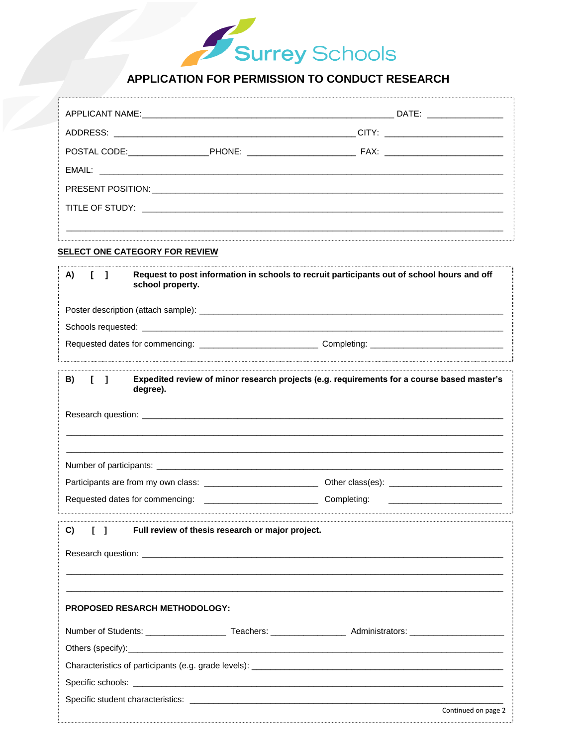# Surrey Schools

# APPLICATION FOR PERMISSION TO CONDUCT RESEARCH

| EMAIL: Latin and the contract of the contract of the contract of the contract of the contract of the contract of the contract of the contract of the contract of the contract of the contract of the contract of the contract |                                                                                                                |
|-------------------------------------------------------------------------------------------------------------------------------------------------------------------------------------------------------------------------------|----------------------------------------------------------------------------------------------------------------|
|                                                                                                                                                                                                                               |                                                                                                                |
|                                                                                                                                                                                                                               |                                                                                                                |
| SELECT ONE CATEGORY FOR REVIEW                                                                                                                                                                                                |                                                                                                                |
| A)<br>$\mathbf{I}$<br>school property.                                                                                                                                                                                        | Request to post information in schools to recruit participants out of school hours and off                     |
|                                                                                                                                                                                                                               |                                                                                                                |
|                                                                                                                                                                                                                               |                                                                                                                |
|                                                                                                                                                                                                                               | Requested dates for commencing: _______________________________Completing: ___________________________________ |
| B)<br>$\Box$<br>degree).                                                                                                                                                                                                      | Expedited review of minor research projects (e.g. requirements for a course based master's                     |
|                                                                                                                                                                                                                               |                                                                                                                |
|                                                                                                                                                                                                                               |                                                                                                                |
|                                                                                                                                                                                                                               |                                                                                                                |
| Requested dates for commencing: Completing:                                                                                                                                                                                   |                                                                                                                |
| C)                                                                                                                                                                                                                            | Full review of thesis research or major project.                                                               |
|                                                                                                                                                                                                                               |                                                                                                                |
|                                                                                                                                                                                                                               |                                                                                                                |
| PROPOSED RESARCH METHODOLOGY:                                                                                                                                                                                                 |                                                                                                                |
|                                                                                                                                                                                                                               |                                                                                                                |
|                                                                                                                                                                                                                               |                                                                                                                |
|                                                                                                                                                                                                                               |                                                                                                                |
|                                                                                                                                                                                                                               |                                                                                                                |
|                                                                                                                                                                                                                               | Continued on page 2                                                                                            |